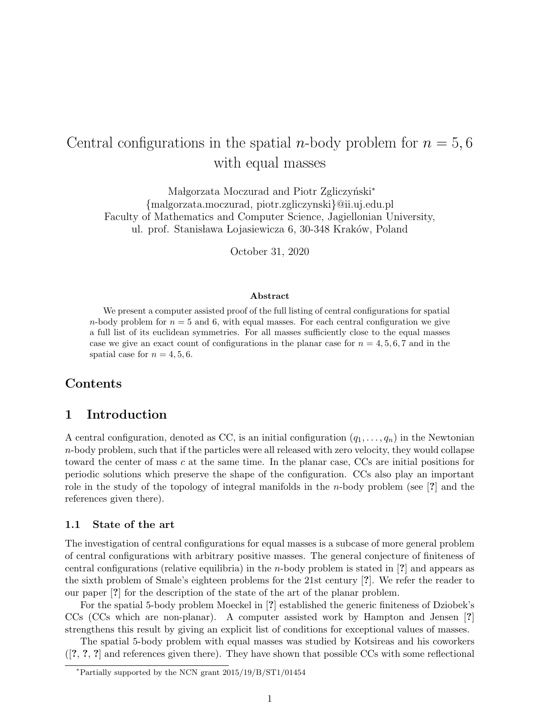# Central configurations in the spatial *n*-body problem for  $n = 5, 6$ with equal masses

Małgorzata Moczurad and Piotr Zgliczyński<sup>\*</sup> {malgorzata.moczurad, piotr.zgliczynski}@ii.uj.edu.pl Faculty of Mathematics and Computer Science, Jagiellonian University, ul. prof. Stanisława Lojasiewicza 6, 30-348 Kraków, Poland

October 31, 2020

#### Abstract

We present a computer assisted proof of the full listing of central configurations for spatial n-body problem for  $n = 5$  and 6, with equal masses. For each central configuration we give a full list of its euclidean symmetries. For all masses sufficiently close to the equal masses case we give an exact count of configurations in the planar case for  $n = 4, 5, 6, 7$  and in the spatial case for  $n = 4, 5, 6$ .

# Contents

# 1 Introduction

A central configuration, denoted as CC, is an initial configuration  $(q_1, \ldots, q_n)$  in the Newtonian  $n$ -body problem, such that if the particles were all released with zero velocity, they would collapse toward the center of mass c at the same time. In the planar case, CCs are initial positions for periodic solutions which preserve the shape of the configuration. CCs also play an important role in the study of the topology of integral manifolds in the n-body problem (see [?] and the references given there).

#### 1.1 State of the art

The investigation of central configurations for equal masses is a subcase of more general problem of central configurations with arbitrary positive masses. The general conjecture of finiteness of central configurations (relative equilibria) in the *n*-body problem is stated in [?] and appears as the sixth problem of Smale's eighteen problems for the 21st century [?]. We refer the reader to our paper [?] for the description of the state of the art of the planar problem.

For the spatial 5-body problem Moeckel in [?] established the generic finiteness of Dziobek's CCs (CCs which are non-planar). A computer assisted work by Hampton and Jensen [?] strengthens this result by giving an explicit list of conditions for exceptional values of masses.

The spatial 5-body problem with equal masses was studied by Kotsireas and his coworkers  $([?,?,?,]$  and references given there). They have shown that possible CCs with some reflectional

<sup>∗</sup>Partially supported by the NCN grant 2015/19/B/ST1/01454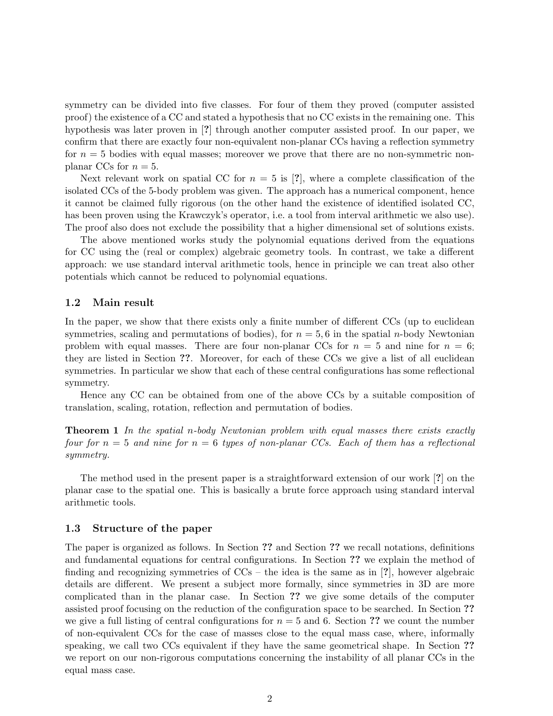symmetry can be divided into five classes. For four of them they proved (computer assisted proof) the existence of a CC and stated a hypothesis that no CC exists in the remaining one. This hypothesis was later proven in [?] through another computer assisted proof. In our paper, we confirm that there are exactly four non-equivalent non-planar CCs having a reflection symmetry for  $n = 5$  bodies with equal masses; moreover we prove that there are no non-symmetric nonplanar CCs for  $n = 5$ .

Next relevant work on spatial CC for  $n = 5$  is [?], where a complete classification of the isolated CCs of the 5-body problem was given. The approach has a numerical component, hence it cannot be claimed fully rigorous (on the other hand the existence of identified isolated CC, has been proven using the Krawczyk's operator, i.e. a tool from interval arithmetic we also use). The proof also does not exclude the possibility that a higher dimensional set of solutions exists.

The above mentioned works study the polynomial equations derived from the equations for CC using the (real or complex) algebraic geometry tools. In contrast, we take a different approach: we use standard interval arithmetic tools, hence in principle we can treat also other potentials which cannot be reduced to polynomial equations.

#### 1.2 Main result

In the paper, we show that there exists only a finite number of different CCs (up to euclidean symmetries, scaling and permutations of bodies), for  $n = 5, 6$  in the spatial *n*-body Newtonian problem with equal masses. There are four non-planar CCs for  $n = 5$  and nine for  $n = 6$ ; they are listed in Section ??. Moreover, for each of these CCs we give a list of all euclidean symmetries. In particular we show that each of these central configurations has some reflectional symmetry.

Hence any CC can be obtained from one of the above CCs by a suitable composition of translation, scaling, rotation, reflection and permutation of bodies.

**Theorem 1** In the spatial n-body Newtonian problem with equal masses there exists exactly four for  $n = 5$  and nine for  $n = 6$  types of non-planar CCs. Each of them has a reflectional symmetry.

The method used in the present paper is a straightforward extension of our work [?] on the planar case to the spatial one. This is basically a brute force approach using standard interval arithmetic tools.

#### 1.3 Structure of the paper

The paper is organized as follows. In Section ?? and Section ?? we recall notations, definitions and fundamental equations for central configurations. In Section ?? we explain the method of finding and recognizing symmetries of  $CCs$  – the idea is the same as in [?], however algebraic details are different. We present a subject more formally, since symmetries in 3D are more complicated than in the planar case. In Section ?? we give some details of the computer assisted proof focusing on the reduction of the configuration space to be searched. In Section ?? we give a full listing of central configurations for  $n = 5$  and 6. Section ?? we count the number of non-equivalent CCs for the case of masses close to the equal mass case, where, informally speaking, we call two CCs equivalent if they have the same geometrical shape. In Section ?? we report on our non-rigorous computations concerning the instability of all planar CCs in the equal mass case.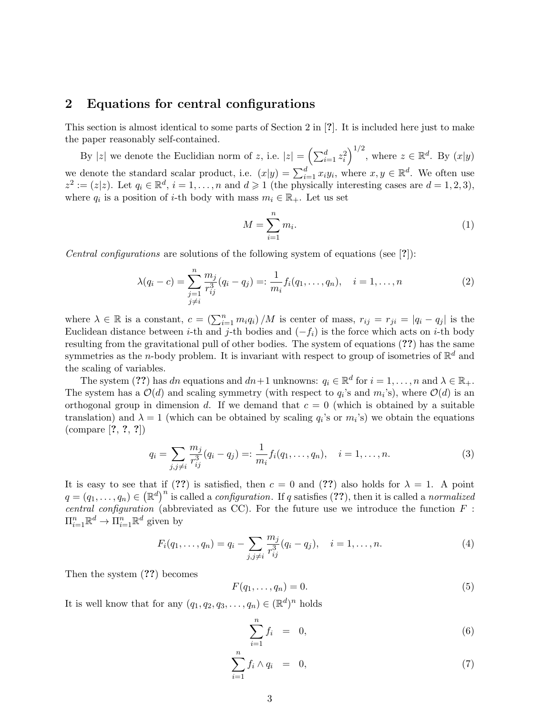# 2 Equations for central configurations

This section is almost identical to some parts of Section 2 in [?]. It is included here just to make the paper reasonably self-contained.

By |z| we denote the Euclidian norm of z, i.e.  $|z| = \left(\sum_{i=1}^d z_i^2\right)^{1/2}$ , where  $z \in \mathbb{R}^d$ . By  $(x|y)$ we denote the standard scalar product, i.e.  $(x|y) = \sum_{i=1}^{d} x_i y_i$ , where  $x, y \in \mathbb{R}^d$ . We often use  $z^2 := (z|z)$ . Let  $q_i \in \mathbb{R}^d$ ,  $i = 1, ..., n$  and  $d \geq 1$  (the physically interesting cases are  $d = 1, 2, 3$ ),  $2 - (\gamma | \gamma)$  Let  $\alpha \in \mathbb{R}^d$ where  $q_i$  is a position of *i*-th body with mass  $m_i \in \mathbb{R}_+$ . Let us set

$$
M = \sum_{i=1}^{n} m_i.
$$
\n<sup>(1)</sup>

Central configurations are solutions of the following system of equations (see [?]):

$$
\lambda(q_i - c) = \sum_{\substack{j=1 \ j \neq i}}^n \frac{m_j}{r_{ij}^3}(q_i - q_j) =: \frac{1}{m_i} f_i(q_1, \dots, q_n), \quad i = 1, \dots, n
$$
\n(2)

where  $\lambda \in \mathbb{R}$  is a constant,  $c = \left(\sum_{i=1}^n m_i q_i\right)/M$  is center of mass,  $r_{ij} = r_{ji} = |q_i - q_j|$  is the Euclidean distance between i-th and j-th bodies and  $(-f_i)$  is the force which acts on i-th body resulting from the gravitational pull of other bodies. The system of equations (??) has the same symmetries as the *n*-body problem. It is invariant with respect to group of isometries of  $\mathbb{R}^d$  and the scaling of variables.

The system (??) has dn equations and  $dn+1$  unknowns:  $q_i \in \mathbb{R}^d$  for  $i = 1, ..., n$  and  $\lambda \in \mathbb{R}_+$ . The system has a  $\mathcal{O}(d)$  and scaling symmetry (with respect to  $q_i$ 's and  $m_i$ 's), where  $\mathcal{O}(d)$  is an orthogonal group in dimension d. If we demand that  $c = 0$  (which is obtained by a suitable translation) and  $\lambda = 1$  (which can be obtained by scaling  $q_i$ 's or  $m_i$ 's) we obtain the equations (compare [?, ?, ?])

$$
q_i = \sum_{j,j \neq i} \frac{m_j}{r_{ij}^3} (q_i - q_j) =: \frac{1}{m_i} f_i(q_1, \dots, q_n), \quad i = 1, \dots, n.
$$
 (3)

It is easy to see that if (??) is satisfied, then  $c = 0$  and (??) also holds for  $\lambda = 1$ . A point  $q=(q_1,\ldots,q_n)\in(\mathbb{R}^d)^n$  is called a *configuration*. If q satisfies (??), then it is called a *normalized* central configuration (abbreviated as CC). For the future use we introduce the function  $F$ :  $\Pi_{i=1}^n \mathbb{R}^d \to \Pi_{i=1}^n \mathbb{R}^d$  given by

$$
F_i(q_1,\ldots,q_n) = q_i - \sum_{j,j \neq i} \frac{m_j}{r_{ij}^3} (q_i - q_j), \quad i = 1,\ldots,n.
$$
 (4)

Then the system (??) becomes

$$
F(q_1, \ldots, q_n) = 0. \tag{5}
$$

It is well know that for any  $(q_1, q_2, q_3, \ldots, q_n) \in (\mathbb{R}^d)^n$  holds

$$
\sum_{i=1}^{n} f_i = 0, \tag{6}
$$

$$
\sum_{i=1}^{n} f_i \wedge q_i = 0, \tag{7}
$$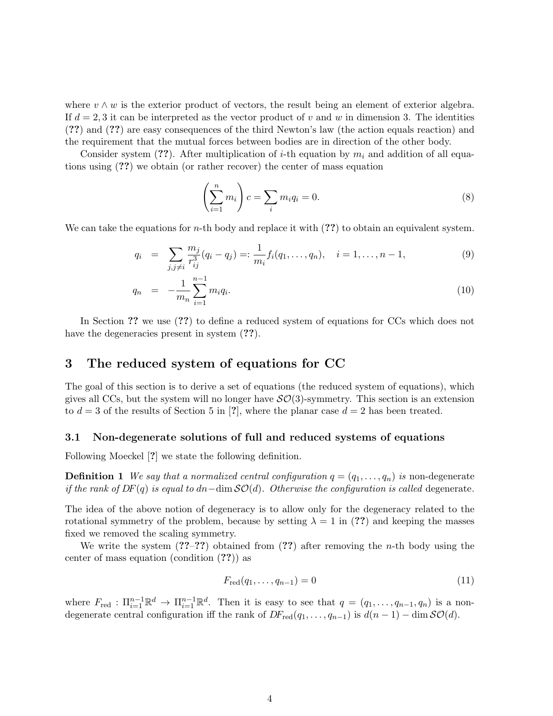where  $v \wedge w$  is the exterior product of vectors, the result being an element of exterior algebra. If  $d = 2, 3$  it can be interpreted as the vector product of v and w in dimension 3. The identities (??) and (??) are easy consequences of the third Newton's law (the action equals reaction) and the requirement that the mutual forces between bodies are in direction of the other body.

Consider system (??). After multiplication of i-th equation by  $m_i$  and addition of all equations using (??) we obtain (or rather recover) the center of mass equation

$$
\left(\sum_{i=1}^{n} m_i\right)c = \sum_i m_i q_i = 0. \tag{8}
$$

We can take the equations for *n*-th body and replace it with  $(??)$  to obtain an equivalent system.

$$
q_i = \sum_{j,j \neq i} \frac{m_j}{r_{ij}^3} (q_i - q_j) =: \frac{1}{m_i} f_i(q_1, \dots, q_n), \quad i = 1, \dots, n-1,
$$
\n(9)

$$
q_n = -\frac{1}{m_n} \sum_{i=1}^{n-1} m_i q_i.
$$
 (10)

In Section ?? we use (??) to define a reduced system of equations for CCs which does not have the degeneracies present in system  $(??)$ .

# 3 The reduced system of equations for CC

The goal of this section is to derive a set of equations (the reduced system of equations), which gives all CCs, but the system will no longer have  $\mathcal{SO}(3)$ -symmetry. This section is an extension to  $d = 3$  of the results of Section 5 in [?], where the planar case  $d = 2$  has been treated.

#### 3.1 Non-degenerate solutions of full and reduced systems of equations

Following Moeckel [?] we state the following definition.

**Definition 1** We say that a normalized central configuration  $q = (q_1, \ldots, q_n)$  is non-degenerate if the rank of  $DF(q)$  is equal to dn−dim  $SO(d)$ . Otherwise the configuration is called degenerate.

The idea of the above notion of degeneracy is to allow only for the degeneracy related to the rotational symmetry of the problem, because by setting  $\lambda = 1$  in (??) and keeping the masses fixed we removed the scaling symmetry.

We write the system  $(??-??)$  obtained from  $(??)$  after removing the *n*-th body using the center of mass equation (condition (??)) as

$$
F_{\text{red}}(q_1, \dots, q_{n-1}) = 0 \tag{11}
$$

where  $F_{\text{red}} : \Pi_{i=1}^{n-1} \mathbb{R}^d \to \Pi_{i=1}^{n-1} \mathbb{R}^d$ . Then it is easy to see that  $q = (q_1, \ldots, q_{n-1}, q_n)$  is a nondegenerate central configuration iff the rank of  $DF_{\text{red}}(q_1, \ldots, q_{n-1})$  is  $d(n-1) - \dim \mathcal{SO}(d)$ .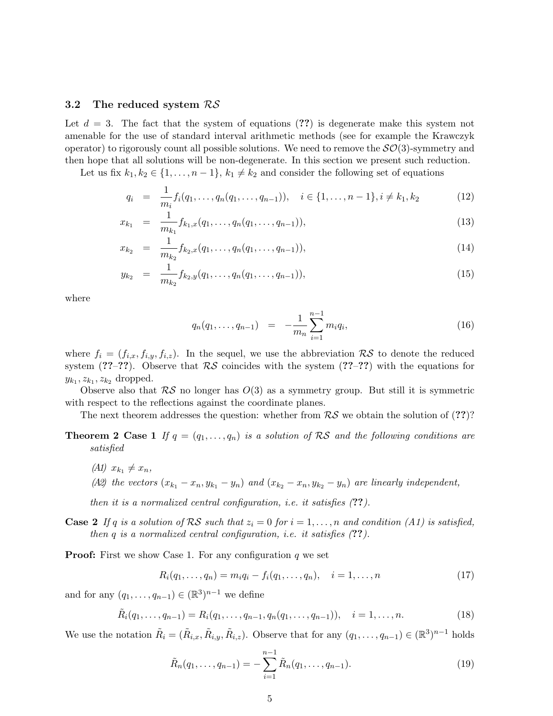#### 3.2 The reduced system RS

Let  $d = 3$ . The fact that the system of equations (??) is degenerate make this system not amenable for the use of standard interval arithmetic methods (see for example the Krawczyk operator) to rigorously count all possible solutions. We need to remove the  $\mathcal{SO}(3)$ -symmetry and then hope that all solutions will be non-degenerate. In this section we present such reduction.

Let us fix  $k_1, k_2 \in \{1, \ldots, n-1\}, k_1 \neq k_2$  and consider the following set of equations

$$
q_i = \frac{1}{m_i} f_i(q_1, \dots, q_n(q_1, \dots, q_{n-1})), \quad i \in \{1, \dots, n-1\}, i \neq k_1, k_2
$$
 (12)

$$
x_{k_1} = \frac{1}{m_{k_1}} f_{k_1, x}(q_1, \dots, q_n(q_1, \dots, q_{n-1})), \tag{13}
$$

$$
x_{k_2} = \frac{1}{m_{k_2}} f_{k_2, x}(q_1, \dots, q_n(q_1, \dots, q_{n-1})), \tag{14}
$$

$$
y_{k_2} = \frac{1}{m_{k_2}} f_{k_2, y}(q_1, \dots, q_n(q_1, \dots, q_{n-1})), \tag{15}
$$

where

$$
q_n(q_1,\ldots,q_{n-1}) = -\frac{1}{m_n}\sum_{i=1}^{n-1} m_i q_i,
$$
\n(16)

where  $f_i = (f_{i,x}, f_{i,y}, f_{i,z})$ . In the sequel, we use the abbreviation  $\mathcal{RS}$  to denote the reduced system (??–??). Observe that  $R\mathcal{S}$  coincides with the system (??–??) with the equations for  $y_{k_1}, z_{k_1}, z_{k_2}$  dropped.

Observe also that  $\mathcal{RS}$  no longer has  $O(3)$  as a symmetry group. But still it is symmetric with respect to the reflections against the coordinate planes.

The next theorem addresses the question: whether from  $RS$  we obtain the solution of  $(??)$ ?

- **Theorem 2 Case 1** If  $q = (q_1, \ldots, q_n)$  is a solution of RS and the following conditions are satisfied
	- (A1)  $x_{k_1} \neq x_n$ ,
	- (A2) the vectors  $(x_{k_1} x_n, y_{k_1} y_n)$  and  $(x_{k_2} x_n, y_{k_2} y_n)$  are linearly independent,

then it is a normalized central configuration, i.e. it satisfies  $(??)$ .

**Case 2** If q is a solution of RS such that  $z_i = 0$  for  $i = 1, ..., n$  and condition (A1) is satisfied, then  $q$  is a normalized central configuration, i.e. it satisfies  $(??)$ .

**Proof:** First we show Case 1. For any configuration  $q$  we set

$$
R_i(q_1, \ldots, q_n) = m_i q_i - f_i(q_1, \ldots, q_n), \quad i = 1, \ldots, n
$$
\n(17)

and for any  $(q_1, \ldots, q_{n-1}) \in (\mathbb{R}^3)^{n-1}$  we define

$$
\tilde{R}_i(q_1,\ldots,q_{n-1}) = R_i(q_1,\ldots,q_{n-1},q_n(q_1,\ldots,q_{n-1})), \quad i = 1,\ldots,n.
$$
\n(18)

We use the notation  $\tilde{R}_i = (\tilde{R}_{i,x}, \tilde{R}_{i,y}, \tilde{R}_{i,z})$ . Observe that for any  $(q_1, \ldots, q_{n-1}) \in (\mathbb{R}^3)^{n-1}$  holds

$$
\tilde{R}_n(q_1,\ldots,q_{n-1}) = -\sum_{i=1}^{n-1} \tilde{R}_n(q_1,\ldots,q_{n-1}).
$$
\n(19)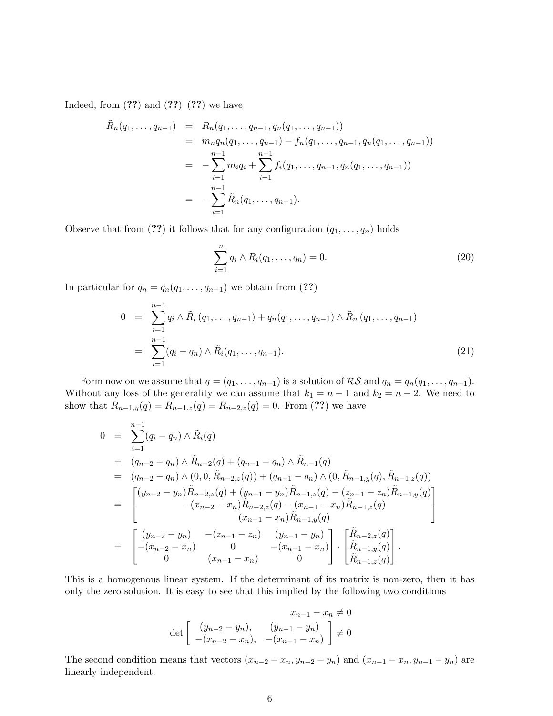Indeed, from  $(??)$  and  $(??)-(??)$  we have

$$
\tilde{R}_n(q_1,\ldots,q_{n-1}) = R_n(q_1,\ldots,q_{n-1},q_n(q_1,\ldots,q_{n-1}))
$$
\n
$$
= m_n q_n(q_1,\ldots,q_{n-1}) - f_n(q_1,\ldots,q_{n-1},q_n(q_1,\ldots,q_{n-1}))
$$
\n
$$
= -\sum_{i=1}^{n-1} m_i q_i + \sum_{i=1}^{n-1} f_i(q_1,\ldots,q_{n-1},q_n(q_1,\ldots,q_{n-1}))
$$
\n
$$
= -\sum_{i=1}^{n-1} \tilde{R}_n(q_1,\ldots,q_{n-1}).
$$

Observe that from (??) it follows that for any configuration  $(q_1, \ldots, q_n)$  holds

$$
\sum_{i=1}^{n} q_i \wedge R_i(q_1, \dots, q_n) = 0.
$$
 (20)

In particular for  $q_n = q_n(q_1, \ldots, q_{n-1})$  we obtain from (??)

$$
0 = \sum_{i=1}^{n-1} q_i \wedge \tilde{R}_i (q_1, \dots, q_{n-1}) + q_n(q_1, \dots, q_{n-1}) \wedge \tilde{R}_n (q_1, \dots, q_{n-1})
$$
  
= 
$$
\sum_{i=1}^{n-1} (q_i - q_n) \wedge \tilde{R}_i (q_1, \dots, q_{n-1}).
$$
 (21)

Form now on we assume that  $q = (q_1, \ldots, q_{n-1})$  is a solution of  $\mathcal{RS}$  and  $q_n = q_n(q_1, \ldots, q_{n-1})$ . Without any loss of the generality we can assume that  $k_1 = n - 1$  and  $k_2 = n - 2$ . We need to show that  $\tilde{R}_{n-1,y}(q) = \tilde{R}_{n-1,z}(q) = \tilde{R}_{n-2,z}(q) = 0$ . From (??) we have

$$
0 = \sum_{i=1}^{n-1} (q_i - q_n) \wedge \tilde{R}_i(q)
$$
  
\n
$$
= (q_{n-2} - q_n) \wedge \tilde{R}_{n-2}(q) + (q_{n-1} - q_n) \wedge \tilde{R}_{n-1}(q)
$$
  
\n
$$
= (q_{n-2} - q_n) \wedge (0, 0, \tilde{R}_{n-2, z}(q)) + (q_{n-1} - q_n) \wedge (0, \tilde{R}_{n-1, y}(q), \tilde{R}_{n-1, z}(q))
$$
  
\n
$$
= \begin{bmatrix} (y_{n-2} - y_n) \tilde{R}_{n-2, z}(q) + (y_{n-1} - y_n) \tilde{R}_{n-1, z}(q) - (z_{n-1} - z_n) \tilde{R}_{n-1, y}(q) \\ -(x_{n-2} - x_n) \tilde{R}_{n-2, z}(q) - (x_{n-1} - x_n) \tilde{R}_{n-1, z}(q) \\ (x_{n-1} - x_n) \tilde{R}_{n-1, y}(q) \end{bmatrix}
$$
  
\n
$$
= \begin{bmatrix} (y_{n-2} - y_n) & -(z_{n-1} - z_n) & (y_{n-1} - y_n) \\ -(x_{n-2} - x_n) & 0 & -(x_{n-1} - x_n) \end{bmatrix} \cdot \begin{bmatrix} \tilde{R}_{n-2, z}(q) \\ \tilde{R}_{n-1, y}(q) \\ \tilde{R}_{n-1, z}(q) \end{bmatrix}.
$$

This is a homogenous linear system. If the determinant of its matrix is non-zero, then it has only the zero solution. It is easy to see that this implied by the following two conditions

$$
x_{n-1} - x_n \neq 0
$$
  
det  $\begin{bmatrix} (y_{n-2} - y_n), & (y_{n-1} - y_n) \\ -(x_{n-2} - x_n), & -(x_{n-1} - x_n) \end{bmatrix} \neq 0$ 

The second condition means that vectors  $(x_{n-2} - x_n, y_{n-2} - y_n)$  and  $(x_{n-1} - x_n, y_{n-1} - y_n)$  are linearly independent.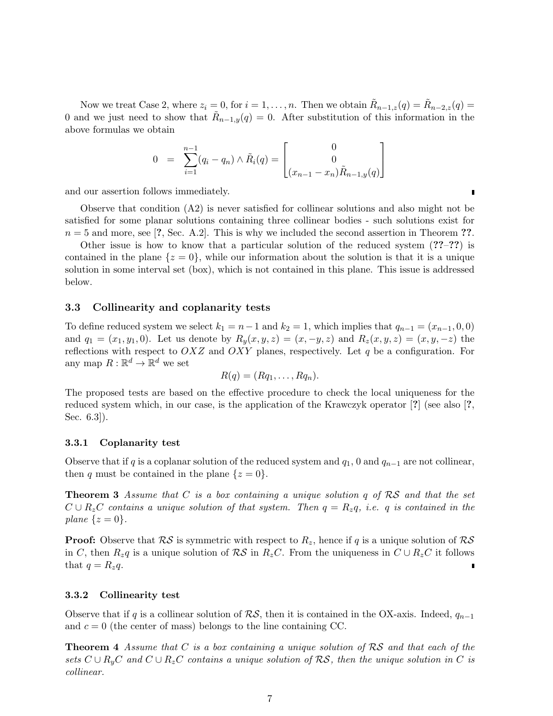Now we treat Case 2, where  $z_i = 0$ , for  $i = 1, \ldots, n$ . Then we obtain  $\tilde{R}_{n-1,z}(q) = \tilde{R}_{n-2,z}(q)$ 0 and we just need to show that  $\tilde{R}_{n-1,y}(q) = 0$ . After substitution of this information in the above formulas we obtain

$$
0 = \sum_{i=1}^{n-1} (q_i - q_n) \wedge \tilde{R}_i(q) = \begin{bmatrix} 0 \\ 0 \\ (x_{n-1} - x_n) \tilde{R}_{n-1,y}(q) \end{bmatrix}
$$

and our assertion follows immediately.

Observe that condition (A2) is never satisfied for collinear solutions and also might not be satisfied for some planar solutions containing three collinear bodies - such solutions exist for  $n = 5$  and more, see [?, Sec. A.2]. This is why we included the second assertion in Theorem ??.

Other issue is how to know that a particular solution of the reduced system (??–??) is contained in the plane  $\{z=0\}$ , while our information about the solution is that it is a unique solution in some interval set (box), which is not contained in this plane. This issue is addressed below.

#### 3.3 Collinearity and coplanarity tests

To define reduced system we select  $k_1 = n-1$  and  $k_2 = 1$ , which implies that  $q_{n-1} = (x_{n-1}, 0, 0)$ and  $q_1 = (x_1, y_1, 0)$ . Let us denote by  $R_y(x, y, z) = (x, -y, z)$  and  $R_z(x, y, z) = (x, y, -z)$  the reflections with respect to  $OXZ$  and  $OXY$  planes, respectively. Let q be a configuration. For any map  $R: \mathbb{R}^d \to \mathbb{R}^d$  we set

$$
R(q) = (Rq_1, \ldots, Rq_n).
$$

The proposed tests are based on the effective procedure to check the local uniqueness for the reduced system which, in our case, is the application of the Krawczyk operator [?] (see also [?, Sec. 6.3]).

#### 3.3.1 Coplanarity test

Observe that if q is a coplanar solution of the reduced system and  $q_1$ , 0 and  $q_{n-1}$  are not collinear, then q must be contained in the plane  $\{z=0\}$ .

**Theorem 3** Assume that C is a box containing a unique solution q of  $RS$  and that the set  $C \cup R_zC$  contains a unique solution of that system. Then  $q = R_zq$ , i.e. q is contained in the plane  $\{z=0\}.$ 

**Proof:** Observe that  $RS$  is symmetric with respect to  $R_z$ , hence if q is a unique solution of  $RS$ in C, then  $R_zq$  is a unique solution of  $\mathcal{RS}$  in  $R_zC$ . From the uniqueness in  $C \cup R_zC$  it follows that  $q = R_z q$ .

#### 3.3.2 Collinearity test

Observe that if q is a collinear solution of  $\mathcal{RS}$ , then it is contained in the OX-axis. Indeed,  $q_{n-1}$ and  $c = 0$  (the center of mass) belongs to the line containing CC.

**Theorem 4** Assume that C is a box containing a unique solution of  $RS$  and that each of the sets  $C \cup R_{\nu}C$  and  $C \cup R_{z}C$  contains a unique solution of  $\mathcal{RS}$ , then the unique solution in C is collinear.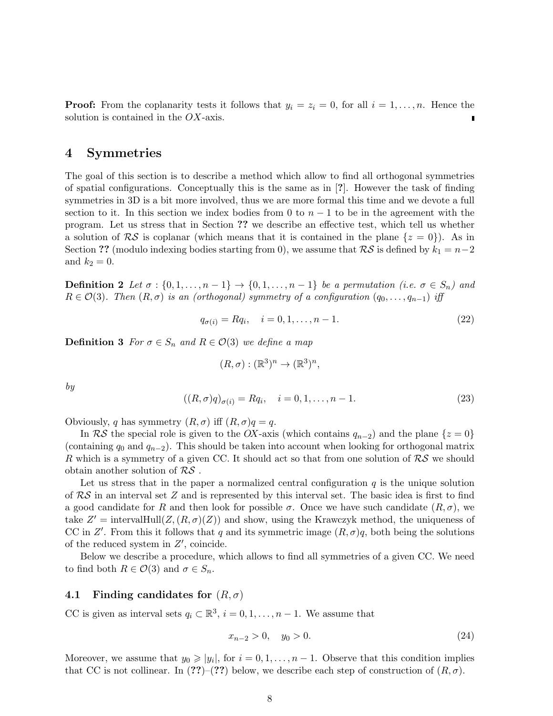**Proof:** From the coplanarity tests it follows that  $y_i = z_i = 0$ , for all  $i = 1, \ldots, n$ . Hence the solution is contained in the  $OX$ -axis.

## 4 Symmetries

The goal of this section is to describe a method which allow to find all orthogonal symmetries of spatial configurations. Conceptually this is the same as in [?]. However the task of finding symmetries in 3D is a bit more involved, thus we are more formal this time and we devote a full section to it. In this section we index bodies from 0 to  $n-1$  to be in the agreement with the program. Let us stress that in Section ?? we describe an effective test, which tell us whether a solution of  $\mathcal{RS}$  is coplanar (which means that it is contained in the plane  $\{z=0\}$ ). As in Section ?? (modulo indexing bodies starting from 0), we assume that  $\mathcal{RS}$  is defined by  $k_1 = n-2$ and  $k_2 = 0$ .

**Definition 2** Let  $\sigma : \{0, 1, \ldots, n-1\} \to \{0, 1, \ldots, n-1\}$  be a permutation (i.e.  $\sigma \in S_n$ ) and  $R \in \mathcal{O}(3)$ . Then  $(R, \sigma)$  is an (orthogonal) symmetry of a configuration  $(q_0, \ldots, q_{n-1})$  iff

$$
q_{\sigma(i)} = Rq_i, \quad i = 0, 1, \dots, n - 1.
$$
\n(22)

**Definition 3** For  $\sigma \in S_n$  and  $R \in \mathcal{O}(3)$  we define a map

$$
(R,\sigma):(\mathbb{R}^3)^n\to(\mathbb{R}^3)^n,
$$

by

$$
((R, \sigma)q)_{\sigma(i)} = Rq_i, \quad i = 0, 1, \dots, n - 1.
$$
\n(23)

Obviously, q has symmetry  $(R, \sigma)$  iff  $(R, \sigma)q = q$ .

In RS the special role is given to the OX-axis (which contains  $q_{n-2}$ ) and the plane  $\{z=0\}$ (containing  $q_0$  and  $q_{n-2}$ ). This should be taken into account when looking for orthogonal matrix R which is a symmetry of a given CC. It should act so that from one solution of  $\mathcal{RS}$  we should obtain another solution of  $RS$ .

Let us stress that in the paper a normalized central configuration  $q$  is the unique solution of  $RS$  in an interval set Z and is represented by this interval set. The basic idea is first to find a good candidate for R and then look for possible  $\sigma$ . Once we have such candidate  $(R, \sigma)$ , we take  $Z' = \text{intervalHull}(Z, (R, \sigma)(Z))$  and show, using the Krawczyk method, the uniqueness of CC in Z'. From this it follows that q and its symmetric image  $(R, \sigma)q$ , both being the solutions of the reduced system in  $Z'$ , coincide.

Below we describe a procedure, which allows to find all symmetries of a given CC. We need to find both  $R \in \mathcal{O}(3)$  and  $\sigma \in S_n$ .

#### 4.1 Finding candidates for  $(R, \sigma)$

CC is given as interval sets  $q_i \,\subset \mathbb{R}^3$ ,  $i = 0, 1, \ldots, n - 1$ . We assume that

$$
x_{n-2} > 0, \quad y_0 > 0. \tag{24}
$$

Moreover, we assume that  $y_0 \geq |y_i|$ , for  $i = 0, 1, ..., n - 1$ . Observe that this condition implies that CC is not collinear. In  $(??)-(??)$  below, we describe each step of construction of  $(R, \sigma)$ .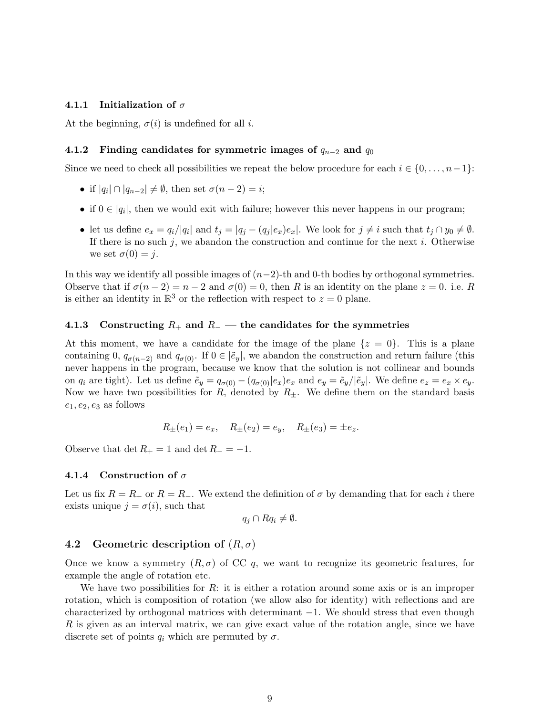#### 4.1.1 Initialization of  $\sigma$

At the beginning,  $\sigma(i)$  is undefined for all *i*.

#### 4.1.2 Finding candidates for symmetric images of  $q_{n-2}$  and  $q_0$

Since we need to check all possibilities we repeat the below procedure for each  $i \in \{0, \ldots, n-1\}$ :

- if  $|q_i| \cap |q_{n-2}| \neq \emptyset$ , then set  $\sigma(n-2) = i$ ;
- if  $0 \in |q_i|$ , then we would exit with failure; however this never happens in our program;
- let us define  $e_x = q_i/|q_i|$  and  $t_j = |q_j (q_j|e_x)e_x|$ . We look for  $j \neq i$  such that  $t_j \cap y_0 \neq \emptyset$ . If there is no such j, we abandon the construction and continue for the next i. Otherwise we set  $\sigma(0) = j$ .

In this way we identify all possible images of  $(n-2)$ -th and 0-th bodies by orthogonal symmetries. Observe that if  $\sigma(n-2) = n-2$  and  $\sigma(0) = 0$ , then R is an identity on the plane  $z = 0$ . i.e. R is either an identity in  $\mathbb{R}^3$  or the reflection with respect to  $z = 0$  plane.

#### 4.1.3 Constructing  $R_+$  and  $R_+$  — the candidates for the symmetries

At this moment, we have a candidate for the image of the plane  $\{z = 0\}$ . This is a plane containing 0,  $q_{\sigma(n-2)}$  and  $q_{\sigma(0)}$ . If  $0 \in |\tilde{e}_y|$ , we abandon the construction and return failure (this never happens in the program, because we know that the solution is not collinear and bounds on  $q_i$  are tight). Let us define  $\tilde{e}_y = q_{\sigma(0)} - (q_{\sigma(0)}|e_x)e_x$  and  $e_y = \tilde{e}_y/|\tilde{e}_y|$ . We define  $e_z = e_x \times e_y$ . Now we have two possibilities for R, denoted by  $R_{\pm}$ . We define them on the standard basis  $e_1, e_2, e_3$  as follows

$$
R_{\pm}(e_1) = e_x
$$
,  $R_{\pm}(e_2) = e_y$ ,  $R_{\pm}(e_3) = \pm e_z$ .

Observe that det  $R_+ = 1$  and det  $R_- = -1$ .

#### 4.1.4 Construction of  $\sigma$

Let us fix  $R = R_+$  or  $R = R_-$ . We extend the definition of  $\sigma$  by demanding that for each i there exists unique  $j = \sigma(i)$ , such that

$$
q_j \cap Rq_i \neq \emptyset.
$$

#### 4.2 Geometric description of  $(R, \sigma)$

Once we know a symmetry  $(R, \sigma)$  of CC q, we want to recognize its geometric features, for example the angle of rotation etc.

We have two possibilities for  $R$ : it is either a rotation around some axis or is an improper rotation, which is composition of rotation (we allow also for identity) with reflections and are characterized by orthogonal matrices with determinant −1. We should stress that even though R is given as an interval matrix, we can give exact value of the rotation angle, since we have discrete set of points  $q_i$  which are permuted by  $\sigma$ .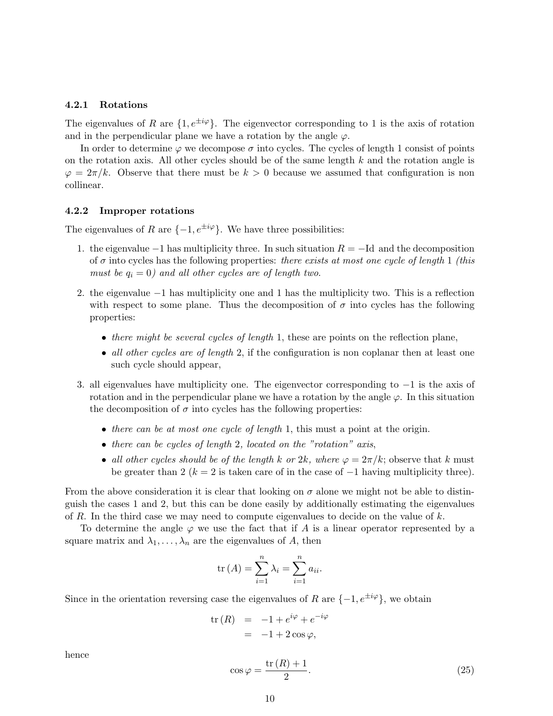#### 4.2.1 Rotations

The eigenvalues of R are  $\{1, e^{\pm i\varphi}\}\$ . The eigenvector corresponding to 1 is the axis of rotation and in the perpendicular plane we have a rotation by the angle  $\varphi$ .

In order to determine  $\varphi$  we decompose  $\sigma$  into cycles. The cycles of length 1 consist of points on the rotation axis. All other cycles should be of the same length  $k$  and the rotation angle is  $\varphi = 2\pi/k$ . Observe that there must be  $k > 0$  because we assumed that configuration is non collinear.

#### 4.2.2 Improper rotations

The eigenvalues of R are  $\{-1, e^{\pm i\varphi}\}\$ . We have three possibilities:

- 1. the eigenvalue  $-1$  has multiplicity three. In such situation  $R = -Id$  and the decomposition of  $\sigma$  into cycles has the following properties: there exists at most one cycle of length 1 (this must be  $q_i = 0$ ) and all other cycles are of length two.
- 2. the eigenvalue −1 has multiplicity one and 1 has the multiplicity two. This is a reflection with respect to some plane. Thus the decomposition of  $\sigma$  into cycles has the following properties:
	- there might be several cycles of length 1, these are points on the reflection plane,
	- all other cycles are of length 2, if the configuration is non coplanar then at least one such cycle should appear,
- 3. all eigenvalues have multiplicity one. The eigenvector corresponding to −1 is the axis of rotation and in the perpendicular plane we have a rotation by the angle  $\varphi$ . In this situation the decomposition of  $\sigma$  into cycles has the following properties:
	- there can be at most one cycle of length 1, this must a point at the origin.
	- there can be cycles of length 2, located on the "rotation" axis,
	- all other cycles should be of the length k or 2k, where  $\varphi = 2\pi/k$ ; observe that k must be greater than 2 ( $k = 2$  is taken care of in the case of  $-1$  having multiplicity three).

From the above consideration it is clear that looking on  $\sigma$  alone we might not be able to distinguish the cases 1 and 2, but this can be done easily by additionally estimating the eigenvalues of R. In the third case we may need to compute eigenvalues to decide on the value of  $k$ .

To determine the angle  $\varphi$  we use the fact that if A is a linear operator represented by a square matrix and  $\lambda_1, \ldots, \lambda_n$  are the eigenvalues of A, then

$$
\operatorname{tr}(A) = \sum_{i=1}^{n} \lambda_i = \sum_{i=1}^{n} a_{ii}.
$$

Since in the orientation reversing case the eigenvalues of R are  $\{-1, e^{\pm i\varphi}\}\,$ , we obtain

$$
\begin{array}{rcl}\n\text{tr}\,(R) & = & -1 + e^{i\varphi} + e^{-i\varphi} \\
& = & -1 + 2\cos\varphi,\n\end{array}
$$

hence

$$
\cos \varphi = \frac{\text{tr}(R) + 1}{2}.\tag{25}
$$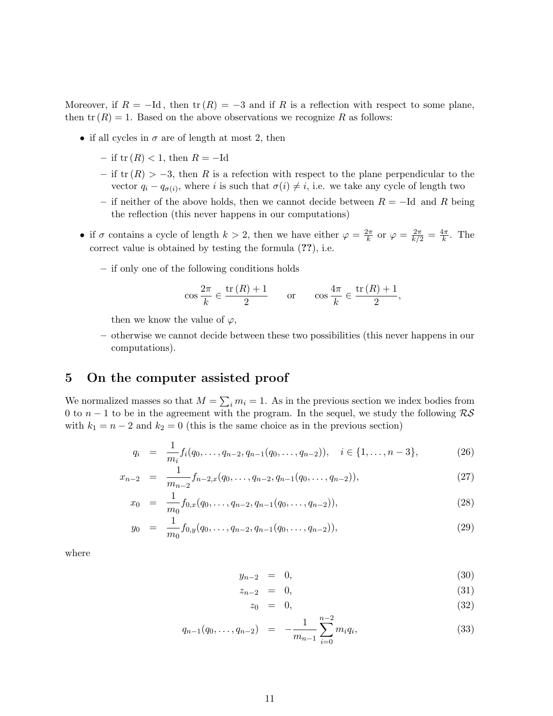Moreover, if  $R = -Id$ , then  $tr(R) = -3$  and if R is a reflection with respect to some plane, then  $tr(R) = 1$ . Based on the above observations we recognize R as follows:

- if all cycles in  $\sigma$  are of length at most 2, then
	- if  $tr(R) < 1$ , then  $R = -Id$
	- if  $tr(R) > -3$ , then R is a refection with respect to the plane perpendicular to the vector  $q_i - q_{\sigma(i)}$ , where i is such that  $\sigma(i) \neq i$ , i.e. we take any cycle of length two
	- if neither of the above holds, then we cannot decide between  $R = -Id$  and R being the reflection (this never happens in our computations)
- if  $\sigma$  contains a cycle of length  $k > 2$ , then we have either  $\varphi = \frac{2\pi}{k}$  $\frac{k}{k}$  or  $\varphi = \frac{2\pi}{k/2} = \frac{4\pi}{k}$  $\frac{4\pi}{k}$ . The correct value is obtained by testing the formula (??), i.e.
	- if only one of the following conditions holds

$$
\cos\frac{2\pi}{k} \in \frac{\text{tr}(R)+1}{2} \qquad \text{or} \qquad \cos\frac{4\pi}{k} \in \frac{\text{tr}(R)+1}{2},
$$

then we know the value of  $\varphi$ ,

– otherwise we cannot decide between these two possibilities (this never happens in our computations).

# 5 On the computer assisted proof

We normalized masses so that  $M = \sum_i m_i = 1$ . As in the previous section we index bodies from 0 to  $n-1$  to be in the agreement with the program. In the sequel, we study the following  $\mathcal{RS}$ with  $k_1 = n - 2$  and  $k_2 = 0$  (this is the same choice as in the previous section)

$$
q_i = \frac{1}{m_i} f_i(q_0, \dots, q_{n-2}, q_{n-1}(q_0, \dots, q_{n-2})), \quad i \in \{1, \dots, n-3\},
$$
 (26)

$$
x_{n-2} = \frac{1}{m_{n-2}} f_{n-2,x}(q_0, \dots, q_{n-2}, q_{n-1}(q_0, \dots, q_{n-2})), \tag{27}
$$

$$
x_0 = \frac{1}{m_0} f_{0,x}(q_0, \dots, q_{n-2}, q_{n-1}(q_0, \dots, q_{n-2})), \tag{28}
$$

$$
y_0 = \frac{1}{m_0} f_{0,y}(q_0, \dots, q_{n-2}, q_{n-1}(q_0, \dots, q_{n-2})), \tag{29}
$$

where

$$
y_{n-2} = 0, \tag{30}
$$

$$
z_{n-2} = 0, \tag{31}
$$

$$
z_0 = 0, \tag{32}
$$

$$
q_{n-1}(q_0,\ldots,q_{n-2}) = -\frac{1}{m_{n-1}}\sum_{i=0}^{n-2} m_i q_i,
$$
\n(33)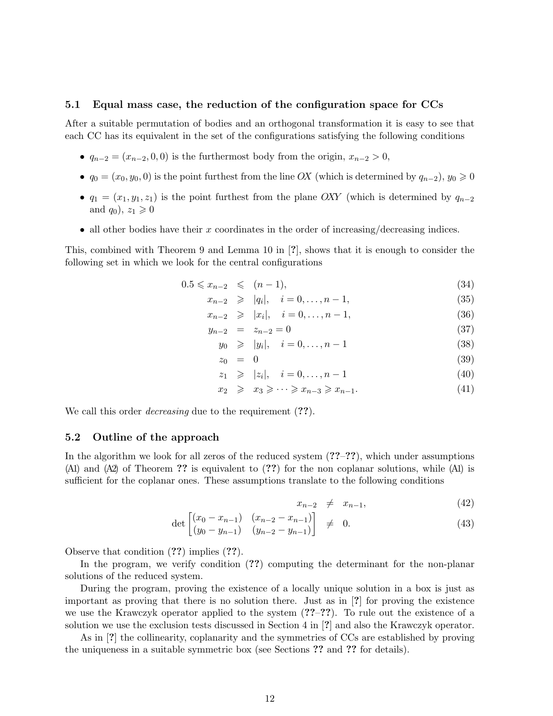#### 5.1 Equal mass case, the reduction of the configuration space for CCs

After a suitable permutation of bodies and an orthogonal transformation it is easy to see that each CC has its equivalent in the set of the configurations satisfying the following conditions

- $q_{n-2} = (x_{n-2}, 0, 0)$  is the furthermost body from the origin,  $x_{n-2} > 0$ ,
- $q_0 = (x_0, y_0, 0)$  is the point furthest from the line OX (which is determined by  $q_{n-2}$ ),  $y_0 \geq 0$
- $q_1 = (x_1, y_1, z_1)$  is the point furthest from the plane OXY (which is determined by  $q_{n-2}$ and  $q_0$ ,  $z_1 \geqslant 0$
- all other bodies have their  $x$  coordinates in the order of increasing/decreasing indices.

This, combined with Theorem 9 and Lemma 10 in [?], shows that it is enough to consider the following set in which we look for the central configurations

$$
0.5 \leqslant x_{n-2} \leqslant (n-1), \tag{34}
$$

$$
x_{n-2} \ge |q_i|, \quad i = 0, \dots, n-1,
$$
\n(35)

$$
x_{n-2} \ge |x_i|, \quad i = 0, \dots, n-1,
$$
\n(36)

$$
y_{n-2} = z_{n-2} = 0 \tag{37}
$$

$$
y_0 \ge |y_i|, \quad i = 0, \dots, n-1 \tag{38}
$$

$$
z_0 = 0 \tag{39}
$$

$$
z_1 \ge |z_i|, \quad i = 0, \dots, n-1 \tag{40}
$$

$$
x_2 \geqslant x_3 \geqslant \cdots \geqslant x_{n-3} \geqslant x_{n-1}.\tag{41}
$$

We call this order *decreasing* due to the requirement  $(??)$ .

#### 5.2 Outline of the approach

In the algorithm we look for all zeros of the reduced system  $(27-27)$ , which under assumptions (A1) and (A2) of Theorem ?? is equivalent to (??) for the non coplanar solutions, while (A1) is sufficient for the coplanar ones. These assumptions translate to the following conditions

$$
x_{n-2} \neq x_{n-1}, \tag{42}
$$

$$
\det \begin{bmatrix} (x_0 - x_{n-1}) & (x_{n-2} - x_{n-1}) \\ (y_0 - y_{n-1}) & (y_{n-2} - y_{n-1}) \end{bmatrix} \neq 0. \tag{43}
$$

Observe that condition (??) implies (??).

In the program, we verify condition (??) computing the determinant for the non-planar solutions of the reduced system.

During the program, proving the existence of a locally unique solution in a box is just as important as proving that there is no solution there. Just as in [?] for proving the existence we use the Krawczyk operator applied to the system (??–??). To rule out the existence of a solution we use the exclusion tests discussed in Section 4 in [?] and also the Krawczyk operator.

As in [?] the collinearity, coplanarity and the symmetries of CCs are established by proving the uniqueness in a suitable symmetric box (see Sections ?? and ?? for details).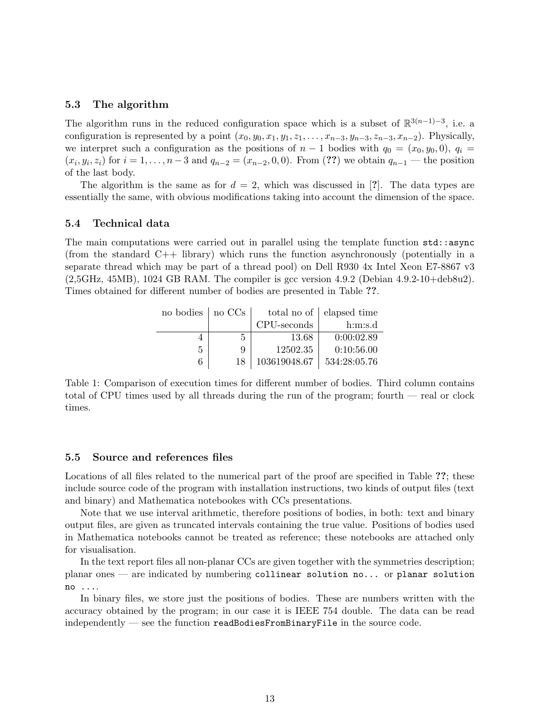#### 5.3 The algorithm

The algorithm runs in the reduced configuration space which is a subset of  $\mathbb{R}^{3(n-1)-3}$ , i.e. a configuration is represented by a point  $(x_0, y_0, x_1, y_1, z_1, \ldots, x_{n-3}, y_{n-3}, z_{n-3}, x_{n-2})$ . Physically, we interpret such a configuration as the positions of  $n-1$  bodies with  $q_0 = (x_0, y_0, 0), q_i =$  $(x_i, y_i, z_i)$  for  $i = 1, ..., n-3$  and  $q_{n-2} = (x_{n-2}, 0, 0)$ . From (??) we obtain  $q_{n-1}$  — the position of the last body.

The algorithm is the same as for  $d = 2$ , which was discussed in [?]. The data types are essentially the same, with obvious modifications taking into account the dimension of the space.

#### 5.4 Technical data

The main computations were carried out in parallel using the template function  $\text{std}$ : async (from the standard  $C++$  library) which runs the function asynchronously (potentially in a separate thread which may be part of a thread pool) on Dell R930 4x Intel Xeon E7-8867 v3 (2,5GHz, 45MB), 1024 GB RAM. The compiler is gcc version 4.9.2 (Debian 4.9.2-10+deb8u2). Times obtained for different number of bodies are presented in Table ??.

| no bodies   no CCs |    |              | total no of   elapsed time |  |
|--------------------|----|--------------|----------------------------|--|
|                    |    | CPU-seconds  | h:m:s.d                    |  |
|                    | 5  | 13.68        | 0:00:02.89                 |  |
| 5                  | 9  | 12502.35     | 0:10:56.00                 |  |
| 6                  | 18 | 103619048.67 | 534:28:05.76               |  |

Table 1: Comparison of execution times for different number of bodies. Third column contains total of CPU times used by all threads during the run of the program; fourth — real or clock times.

#### 5.5 Source and references files

Locations of all files related to the numerical part of the proof are specified in Table ??; these include source code of the program with installation instructions, two kinds of output files (text and binary) and Mathematica notebookes with CCs presentations.

Note that we use interval arithmetic, therefore positions of bodies, in both: text and binary output files, are given as truncated intervals containing the true value. Positions of bodies used in Mathematica notebooks cannot be treated as reference; these notebooks are attached only for visualisation.

In the text report files all non-planar CCs are given together with the symmetries description; planar ones — are indicated by numbering collinear solution no... or planar solution no ....

In binary files, we store just the positions of bodies. These are numbers written with the accuracy obtained by the program; in our case it is IEEE 754 double. The data can be read independently — see the function readBodiesFromBinaryFile in the source code.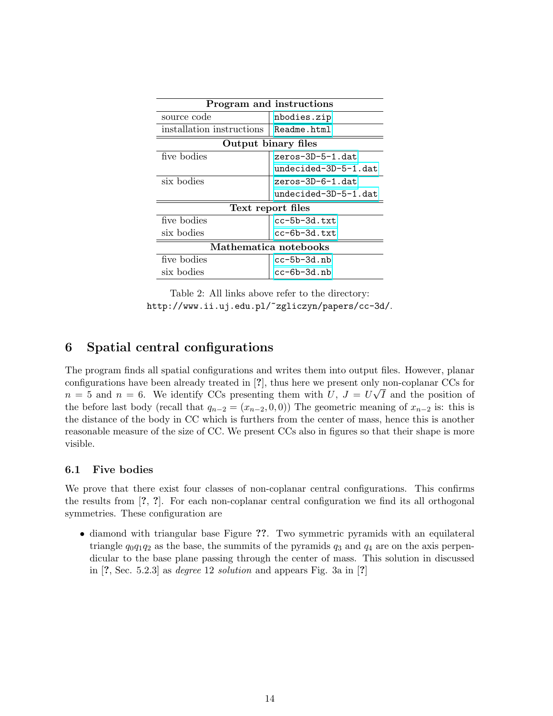| Program and instructions  |                      |  |  |  |  |
|---------------------------|----------------------|--|--|--|--|
| source code               | nbodies.zip          |  |  |  |  |
| installation instructions | Readme.html          |  |  |  |  |
| Output binary files       |                      |  |  |  |  |
| five bodies               | zeros-3D-5-1.dat     |  |  |  |  |
|                           | undecided-3D-5-1.dat |  |  |  |  |
| six bodies                | zeros-3D-6-1.dat     |  |  |  |  |
|                           | undecided-3D-5-1.dat |  |  |  |  |
| Text report files         |                      |  |  |  |  |
| five bodies               | $cc-5b-3d.txt$       |  |  |  |  |
| six bodies                | $cc - 6b - 3d.txt$   |  |  |  |  |
| Mathematica notebooks     |                      |  |  |  |  |
| five bodies               | $cc - 5b - 3d$ .nb   |  |  |  |  |
| six bodies                | cc-6b-3d.nb          |  |  |  |  |

Table 2: All links above refer to the directory: http://www.ii.uj.edu.pl/~zgliczyn/papers/cc-3d/.

# 6 Spatial central configurations

The program finds all spatial configurations and writes them into output files. However, planar configurations have been already treated in [?], thus here we present only non-coplanar CCs for  $n = 5$  and  $n = 6$ . We identify CCs presenting them with U,  $J = U\sqrt{I}$  and the position of the before last body (recall that  $q_{n-2} = (x_{n-2}, 0, 0)$ ) The geometric meaning of  $x_{n-2}$  is: this is the distance of the body in CC which is furthers from the center of mass, hence this is another reasonable measure of the size of CC. We present CCs also in figures so that their shape is more visible.

### 6.1 Five bodies

We prove that there exist four classes of non-coplanar central configurations. This confirms the results from [?, ?]. For each non-coplanar central configuration we find its all orthogonal symmetries. These configuration are

• diamond with triangular base Figure ??. Two symmetric pyramids with an equilateral triangle  $q_0q_1q_2$  as the base, the summits of the pyramids  $q_3$  and  $q_4$  are on the axis perpendicular to the base plane passing through the center of mass. This solution in discussed in  $[?$ , Sec. 5.2.3 as *degree* 12 *solution* and appears Fig. 3a in  $[?]$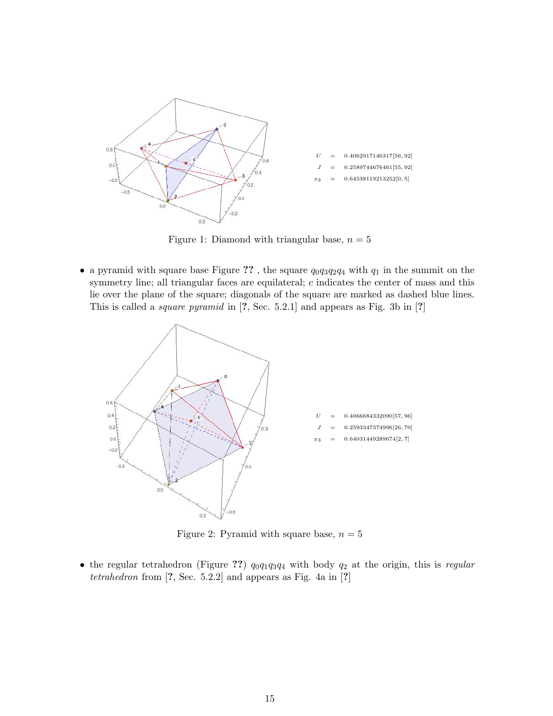

Figure 1: Diamond with triangular base,  $n = 5$ 

• a pyramid with square base Figure ??, the square  $q_0q_3q_2q_4$  with  $q_1$  in the summit on the symmetry line; all triangular faces are equilateral; c indicates the center of mass and this lie over the plane of the square; diagonals of the square are marked as dashed blue lines. This is called a square pyramid in [?, Sec. 5.2.1] and appears as Fig. 3b in [?]



Figure 2: Pyramid with square base,  $n = 5$ 

• the regular tetrahedron (Figure ??)  $q_0q_1q_3q_4$  with body  $q_2$  at the origin, this is regular tetrahedron from  $[?,$  Sec. 5.2.2] and appears as Fig. 4a in  $[?]$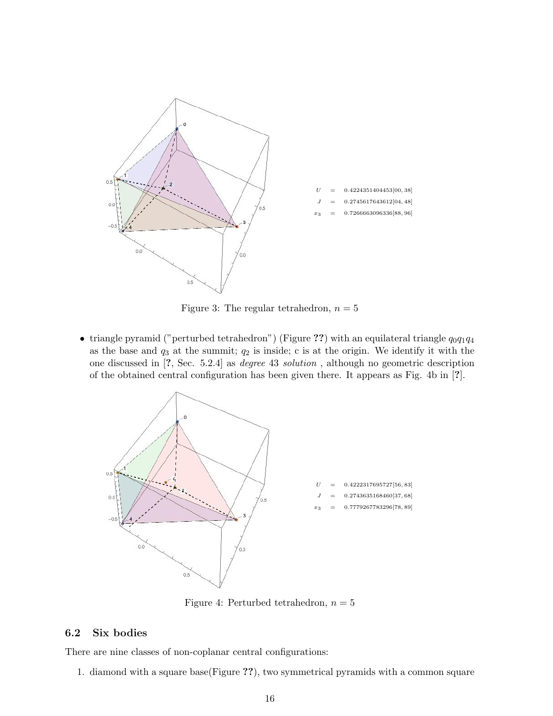

Figure 3: The regular tetrahedron,  $n = 5$ 

• triangle pyramid ("perturbed tetrahedron") (Figure ??) with an equilateral triangle  $q_0q_1q_4$ as the base and  $q_3$  at the summit;  $q_2$  is inside; c is at the origin. We identify it with the one discussed in [?, Sec. 5.2.4] as degree 43 solution , although no geometric description of the obtained central configuration has been given there. It appears as Fig. 4b in [?].



Figure 4: Perturbed tetrahedron,  $n = 5$ 

### 6.2 Six bodies

There are nine classes of non-coplanar central configurations:

1. diamond with a square base(Figure ??), two symmetrical pyramids with a common square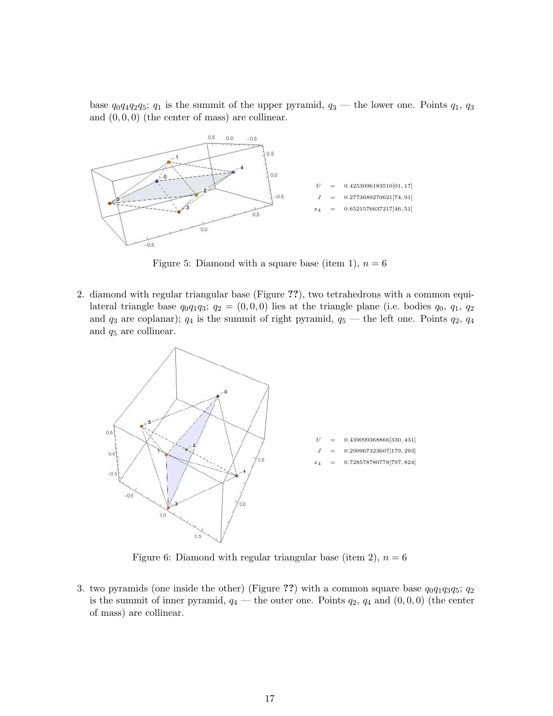base  $q_0q_4q_2q_5$ ;  $q_1$  is the summit of the upper pyramid,  $q_3$  — the lower one. Points  $q_1$ ,  $q_3$ and  $(0, 0, 0)$  (the center of mass) are collinear.



Figure 5: Diamond with a square base (item 1),  $n = 6$ 

2. diamond with regular triangular base (Figure ??), two tetrahedrons with a common equilateral triangle base  $q_0q_1q_3$ ;  $q_2 = (0,0,0)$  lies at the triangle plane (i.e. bodies  $q_0, q_1, q_2$ ) and  $q_3$  are coplanar);  $q_4$  is the summit of right pyramid,  $q_5$  — the left one. Points  $q_2$ ,  $q_4$ and q<sup>5</sup> are collinear.



Figure 6: Diamond with regular triangular base (item 2),  $n = 6$ 

3. two pyramids (one inside the other) (Figure ??) with a common square base  $q_0q_1q_3q_5$ ;  $q_2$ is the summit of inner pyramid,  $q_4$  — the outer one. Points  $q_2$ ,  $q_4$  and  $(0, 0, 0)$  (the center of mass) are collinear.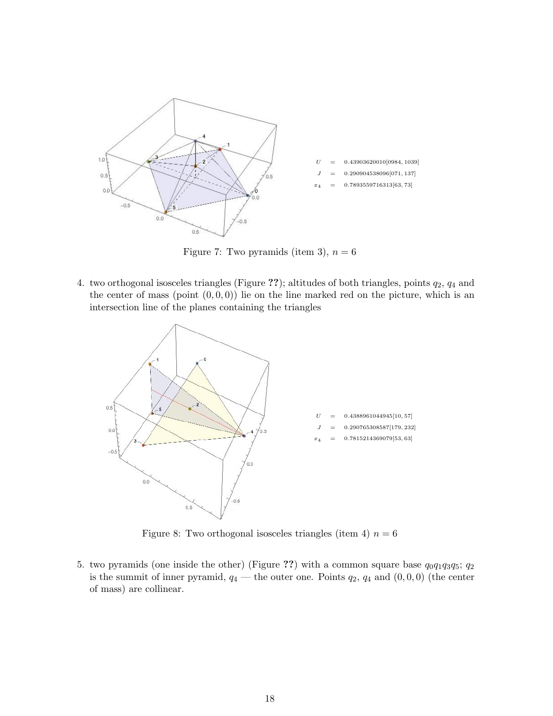

Figure 7: Two pyramids (item 3),  $n = 6$ 

4. two orthogonal isosceles triangles (Figure ??); altitudes of both triangles, points  $q_2$ ,  $q_4$  and the center of mass (point  $(0, 0, 0)$ ) lie on the line marked red on the picture, which is an intersection line of the planes containing the triangles



Figure 8: Two orthogonal isosceles triangles (item 4)  $n = 6$ 

5. two pyramids (one inside the other) (Figure ??) with a common square base  $q_0q_1q_3q_5$ ;  $q_2$ is the summit of inner pyramid,  $q_4$  — the outer one. Points  $q_2$ ,  $q_4$  and  $(0, 0, 0)$  (the center of mass) are collinear.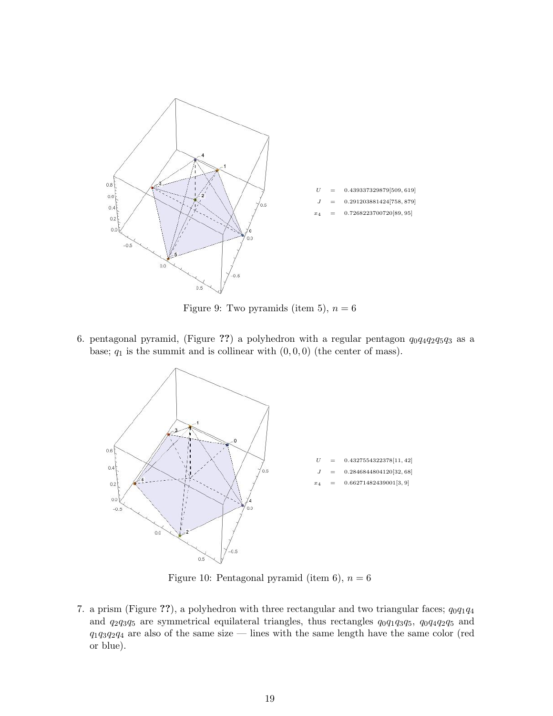

Figure 9: Two pyramids (item 5),  $n = 6$ 

6. pentagonal pyramid, (Figure ??) a polyhedron with a regular pentagon  $q_0q_4q_2q_5q_3$  as a base;  $q_1$  is the summit and is collinear with  $(0, 0, 0)$  (the center of mass).



Figure 10: Pentagonal pyramid (item 6),  $n = 6$ 

7. a prism (Figure ??), a polyhedron with three rectangular and two triangular faces;  $q_0q_1q_4$ and  $q_2q_3q_5$  are symmetrical equilateral triangles, thus rectangles  $q_0q_1q_3q_5$ ,  $q_0q_4q_2q_5$  and  $q_1q_3q_2q_4$  are also of the same size — lines with the same length have the same color (red or blue).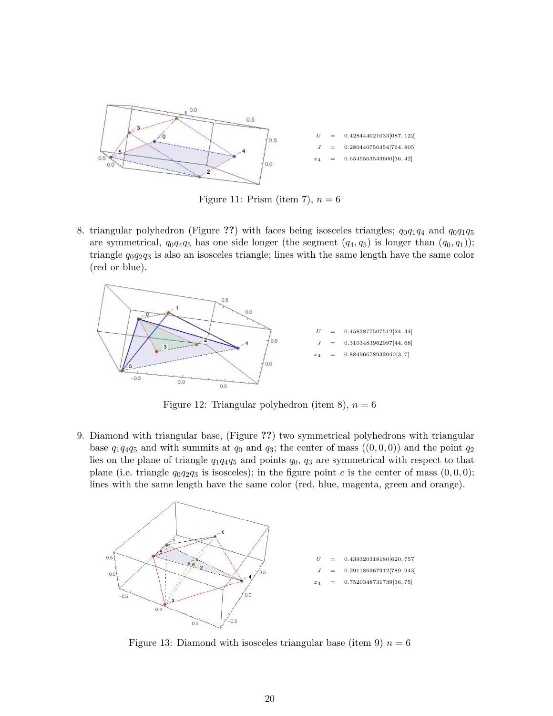

Figure 11: Prism (item 7),  $n = 6$ 

8. triangular polyhedron (Figure ??) with faces being isosceles triangles;  $q_0q_1q_4$  and  $q_0q_1q_5$ are symmetrical,  $q_0q_4q_5$  has one side longer (the segment  $(q_4, q_5)$  is longer than  $(q_0, q_1)$ ); triangle  $q_0q_2q_3$  is also an isosceles triangle; lines with the same length have the same color (red or blue).



Figure 12: Triangular polyhedron (item 8),  $n = 6$ 

9. Diamond with triangular base, (Figure ??) two symmetrical polyhedrons with triangular base  $q_1q_4q_5$  and with summits at  $q_0$  and  $q_3$ ; the center of mass  $((0,0,0))$  and the point  $q_2$ lies on the plane of triangle  $q_1q_4q_5$  and points  $q_0$ ,  $q_3$  are symmetrical with respect to that plane (i.e. triangle  $q_0q_2q_3$  is isosceles); in the figure point c is the center of mass  $(0,0,0)$ ; lines with the same length have the same color (red, blue, magenta, green and orange).



Figure 13: Diamond with isosceles triangular base (item 9)  $n = 6$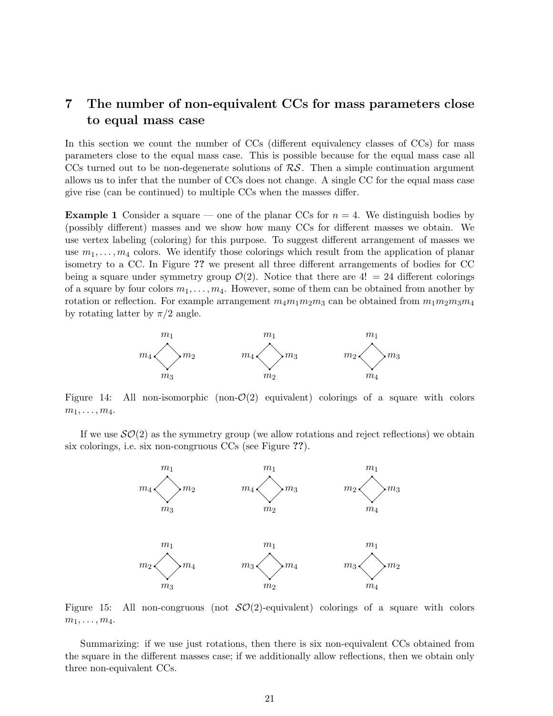# 7 The number of non-equivalent CCs for mass parameters close to equal mass case

In this section we count the number of CCs (different equivalency classes of CCs) for mass parameters close to the equal mass case. This is possible because for the equal mass case all CCs turned out to be non-degenerate solutions of  $RS$ . Then a simple continuation argument allows us to infer that the number of CCs does not change. A single CC for the equal mass case give rise (can be continued) to multiple CCs when the masses differ.

**Example 1** Consider a square — one of the planar CCs for  $n = 4$ . We distinguish bodies by (possibly different) masses and we show how many CCs for different masses we obtain. We use vertex labeling (coloring) for this purpose. To suggest different arrangement of masses we use  $m_1, \ldots, m_4$  colors. We identify those colorings which result from the application of planar isometry to a CC. In Figure ?? we present all three different arrangements of bodies for CC being a square under symmetry group  $\mathcal{O}(2)$ . Notice that there are  $4! = 24$  different colorings of a square by four colors  $m_1, \ldots, m_4$ . However, some of them can be obtained from another by rotation or reflection. For example arrangement  $m_4m_1m_2m_3$  can be obtained from  $m_1m_2m_3m_4$ by rotating latter by  $\pi/2$  angle.



Figure 14: All non-isomorphic (non- $\mathcal{O}(2)$ ) equivalent) colorings of a square with colors  $m_1, \ldots, m_4.$ 

If we use  $\mathcal{SO}(2)$  as the symmetry group (we allow rotations and reject reflections) we obtain six colorings, i.e. six non-congruous CCs (see Figure ??).



Figure 15: All non-congruous (not  $\mathcal{SO}(2)$ -equivalent) colorings of a square with colors  $m_1, \ldots, m_4.$ 

Summarizing: if we use just rotations, then there is six non-equivalent CCs obtained from the square in the different masses case; if we additionally allow reflections, then we obtain only three non-equivalent CCs.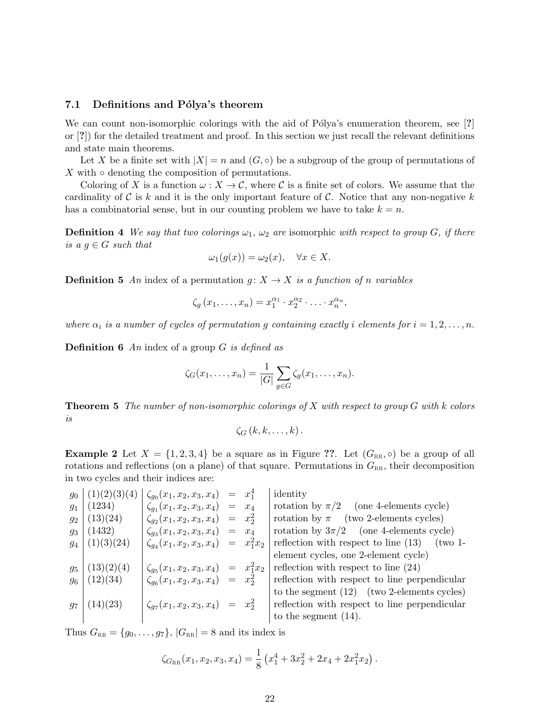#### 7.1 Definitions and Pólya's theorem

We can count non-isomorphic colorings with the aid of Pólya's enumeration theorem, see [?] or [?]) for the detailed treatment and proof. In this section we just recall the relevant definitions and state main theorems.

Let X be a finite set with  $|X| = n$  and  $(G, \circ)$  be a subgroup of the group of permutations of  $X$  with  $\circ$  denoting the composition of permutations.

Coloring of X is a function  $\omega : X \to \mathcal{C}$ , where C is a finite set of colors. We assume that the cardinality of C is k and it is the only important feature of C. Notice that any non-negative k has a combinatorial sense, but in our counting problem we have to take  $k = n$ .

**Definition 4** We say that two colorings  $\omega_1$ ,  $\omega_2$  are isomorphic with respect to group G, if there is a  $g \in G$  such that

$$
\omega_1(g(x)) = \omega_2(x), \quad \forall x \in X.
$$

**Definition 5** An index of a permutation  $g: X \to X$  is a function of n variables

$$
\zeta_g(x_1,\ldots,x_n)=x_1^{\alpha_1}\cdot x_2^{\alpha_2}\cdot\ldots\cdot x_n^{\alpha_n},
$$

where  $\alpha_i$  is a number of cycles of permutation g containing exactly i elements for  $i = 1, 2, \ldots, n$ .

**Definition 6** An index of a group  $G$  is defined as

$$
\zeta_G(x_1,\ldots,x_n)=\frac{1}{|G|}\sum_{g\in G}\zeta_g(x_1,\ldots,x_n).
$$

**Theorem 5** The number of non-isomorphic colorings of X with respect to group  $G$  with k colors is

$$
\zeta_{G}\left(k,k,\ldots,k\right).
$$

**Example 2** Let  $X = \{1, 2, 3, 4\}$  be a square as in Figure ??. Let  $(G_{RR}, \circ)$  be a group of all rotations and reflections (on a plane) of that square. Permutations in  $G_{RR}$ , their decomposition in two cycles and their indices are:

| $g_0$ | $(1)(2)(3)(4)$ | $\zeta_{g_0}(x_1, x_2, x_3, x_4)$ | $x_1$ | $x_2$ | $x_3$ | $x_4$ | $x_5$ | $x_6$ | $(13)(24)$ | $\zeta_{g_1}(x_1, x_2, x_3, x_4)$ | $x_2$ | $x_3$ | $x_4$ | $x_5$ | $x_6$ | $x_7$ | $x_8$ | $x_9$ | $x_9$ | $x_9$ | $x_9$ | $x_9$ | $x_9$ | $x_9$ | $x_9$ | $x_9$ | $x_9$ | $x_9$ | $x_9$ | $x_9$ | $x_9$ | $x_9$ | $x_9$ | $x_9$ | $x_9$ | $x_9$ | $x_9$ | $x_9$ | $x_9$ | $x_9$ | $x_9$ | $x_9$ | $x_9$ | $x_9$ | $x_9$ | $x_9$ | $x_9$ | $x_9$ | $x_9$ | $x_9$ | $x_9$ | $x_9$ | $x_9$ | $x_9$ | $x_9$ | $x_9$ | $x_9$ | $x_9$ |
|-------|----------------|-----------------------------------|-------|-------|-------|-------|-------|-------|------------|-----------------------------------|-------|-------|-------|-------|-------|-------|-------|-------|-------|-------|-------|-------|-------|-------|-------|-------|-------|-------|-------|-------|-------|-------|-------|-------|-------|-------|-------|-------|-------|-------|-------|-------|-------|-------|-------|-------|-------|-------|-------|-------|-------|-------|-------|-------|-------|-------|-------|-------|
|-------|----------------|-----------------------------------|-------|-------|-------|-------|-------|-------|------------|-----------------------------------|-------|-------|-------|-------|-------|-------|-------|-------|-------|-------|-------|-------|-------|-------|-------|-------|-------|-------|-------|-------|-------|-------|-------|-------|-------|-------|-------|-------|-------|-------|-------|-------|-------|-------|-------|-------|-------|-------|-------|-------|-------|-------|-------|-------|-------|-------|-------|-------|

Thus  $G_{RR} = \{g_0, \ldots, g_7\}, |G_{RR}| = 8$  and its index is

$$
\zeta_{G_{\rm RR}}(x_1, x_2, x_3, x_4) = \frac{1}{8} \left( x_1^4 + 3x_2^2 + 2x_4 + 2x_1^2 x_2 \right).
$$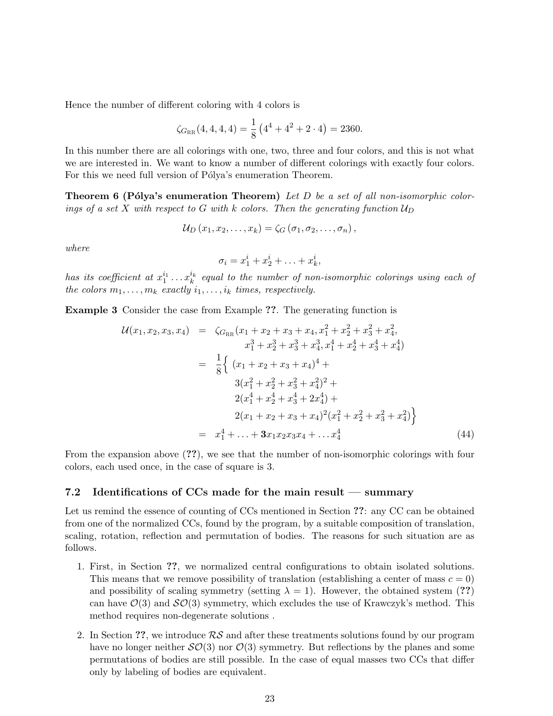Hence the number of different coloring with 4 colors is

$$
\zeta_{G_{RR}}(4,4,4,4) = \frac{1}{8} \left(4^4 + 4^2 + 2 \cdot 4\right) = 2360.
$$

In this number there are all colorings with one, two, three and four colors, and this is not what we are interested in. We want to know a number of different colorings with exactly four colors. For this we need full version of Pólya's enumeration Theorem.

**Theorem 6 (Pólya's enumeration Theorem)** Let D be a set of all non-isomorphic colorings of a set X with respect to G with k colors. Then the generating function  $\mathcal{U}_D$ 

$$
\mathcal{U}_D(x_1,x_2,\ldots,x_k)=\zeta_G(\sigma_1,\sigma_2,\ldots,\sigma_n),
$$

where

$$
\sigma_i = x_1^i + x_2^i + \ldots + x_k^i,
$$

has its coefficient at  $x_1^{i_1} \ldots x_k^{i_k}$  equal to the number of non-isomorphic colorings using each of the colors  $m_1, \ldots, m_k$  exactly  $i_1, \ldots, i_k$  times, respectively.

Example 3 Consider the case from Example ??. The generating function is

$$
\mathcal{U}(x_1, x_2, x_3, x_4) = \zeta_{G_{RR}}(x_1 + x_2 + x_3 + x_4, x_1^2 + x_2^2 + x_3^2 + x_4^2, \nx_1^3 + x_2^3 + x_3^3 + x_4^3, x_1^4 + x_2^4 + x_3^4 + x_4^4) \n= \frac{1}{8} \Big\{ (x_1 + x_2 + x_3 + x_4)^4 + \n3(x_1^2 + x_2^2 + x_3^2 + x_4^2)^2 + \n2(x_1^4 + x_2^4 + x_3^4 + 2x_4^4) + \n2(x_1 + x_2 + x_3 + x_4)^2(x_1^2 + x_2^2 + x_3^2 + x_4^2) \Big\} \n= x_1^4 + \ldots + 3x_1x_2x_3x_4 + \ldots x_4^4 \tag{44}
$$

From the expansion above (??), we see that the number of non-isomorphic colorings with four colors, each used once, in the case of square is 3.

### 7.2 Identifications of CCs made for the main result — summary

Let us remind the essence of counting of CCs mentioned in Section ??: any CC can be obtained from one of the normalized CCs, found by the program, by a suitable composition of translation, scaling, rotation, reflection and permutation of bodies. The reasons for such situation are as follows.

- 1. First, in Section ??, we normalized central configurations to obtain isolated solutions. This means that we remove possibility of translation (establishing a center of mass  $c = 0$ ) and possibility of scaling symmetry (setting  $\lambda = 1$ ). However, the obtained system (??) can have  $\mathcal{O}(3)$  and  $\mathcal{SO}(3)$  symmetry, which excludes the use of Krawczyk's method. This method requires non-degenerate solutions .
- 2. In Section ??, we introduce  $\mathcal{RS}$  and after these treatments solutions found by our program have no longer neither  $\mathcal{SO}(3)$  nor  $\mathcal{O}(3)$  symmetry. But reflections by the planes and some permutations of bodies are still possible. In the case of equal masses two CCs that differ only by labeling of bodies are equivalent.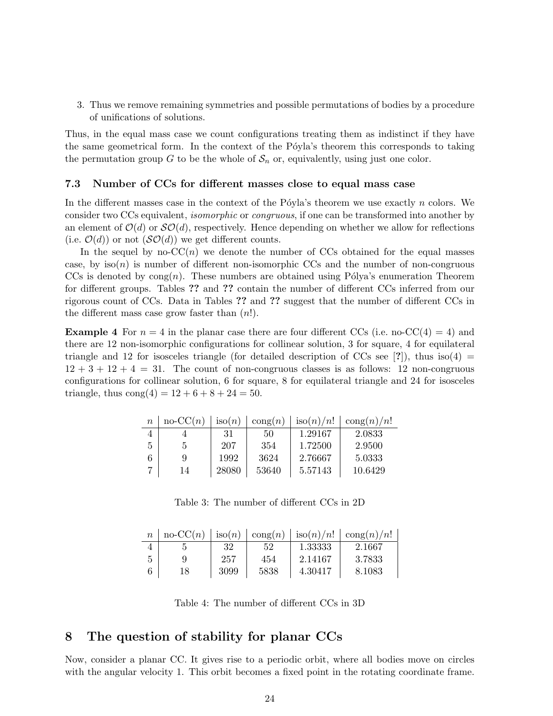3. Thus we remove remaining symmetries and possible permutations of bodies by a procedure of unifications of solutions.

Thus, in the equal mass case we count configurations treating them as indistinct if they have the same geometrical form. In the context of the Póyla's theorem this corresponds to taking the permutation group G to be the whole of  $S_n$  or, equivalently, using just one color.

#### 7.3 Number of CCs for different masses close to equal mass case

In the different masses case in the context of the Póyla's theorem we use exactly  $n$  colors. We consider two CCs equivalent, isomorphic or congruous, if one can be transformed into another by an element of  $\mathcal{O}(d)$  or  $\mathcal{SO}(d)$ , respectively. Hence depending on whether we allow for reflections (i.e.  $\mathcal{O}(d)$ ) or not  $(\mathcal{SO}(d))$  we get different counts.

In the sequel by no- $CC(n)$  we denote the number of CCs obtained for the equal masses case, by  $iso(n)$  is number of different non-isomorphic CCs and the number of non-congruous CCs is denoted by  $\text{cong}(n)$ . These numbers are obtained using Pólya's enumeration Theorem for different groups. Tables ?? and ?? contain the number of different CCs inferred from our rigorous count of CCs. Data in Tables ?? and ?? suggest that the number of different CCs in the different mass case grow faster than  $(n!)$ .

**Example 4** For  $n = 4$  in the planar case there are four different CCs (i.e. no-CC(4) = 4) and there are 12 non-isomorphic configurations for collinear solution, 3 for square, 4 for equilateral triangle and 12 for isosceles triangle (for detailed description of CCs see [?]), thus iso(4) =  $12 + 3 + 12 + 4 = 31$ . The count of non-congruous classes is as follows: 12 non-congruous configurations for collinear solution, 6 for square, 8 for equilateral triangle and 24 for isosceles triangle, thus  $\text{cong}(4) = 12 + 6 + 8 + 24 = 50$ .

| $\boldsymbol{n}$ | $no-CC(n)$ | $\operatorname{iso}(n)$ | $\text{cong}(n)$ | $\operatorname{iso}(n)/n!$ | $\text{cong}(n)/n!$ |
|------------------|------------|-------------------------|------------------|----------------------------|---------------------|
|                  |            | 31                      | 50               | 1.29167                    | 2.0833              |
| 5                | Ð          | 207                     | 354              | 1.72500                    | 2.9500              |
| 6                | 9          | 1992                    | 3624             | 2.76667                    | 5.0333              |
|                  | 14         | 28080                   | 53640            | 5.57143                    | 10.6429             |

Table 3: The number of different CCs in 2D

|   |    |      |      |         | $\text{no-CC}(n)$   iso(n)   cong(n)   iso(n)/n!   cong(n)/n! |
|---|----|------|------|---------|---------------------------------------------------------------|
|   |    | 32   | -52  | 1.33333 | 2.1667                                                        |
| 5 | Q  | 257  | 454  | 2.14167 | 3.7833                                                        |
|   | 18 | 3099 | 5838 | 4.30417 | 8.1083                                                        |

Table 4: The number of different CCs in 3D

# 8 The question of stability for planar CCs

Now, consider a planar CC. It gives rise to a periodic orbit, where all bodies move on circles with the angular velocity 1. This orbit becomes a fixed point in the rotating coordinate frame.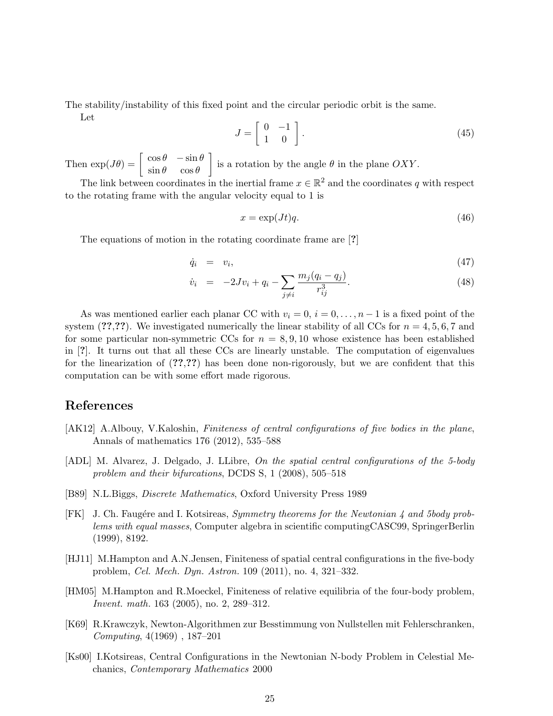The stability/instability of this fixed point and the circular periodic orbit is the same.

Let

$$
J = \left[ \begin{array}{cc} 0 & -1 \\ 1 & 0 \end{array} \right]. \tag{45}
$$

Then  $\exp(J\theta) = \begin{bmatrix} \cos\theta & -\sin\theta \\ \sin\theta & \cos\theta \end{bmatrix}$  $\sin \theta \quad \cos \theta$ is a rotation by the angle  $\theta$  in the plane OXY.

The link between coordinates in the inertial frame  $x \in \mathbb{R}^2$  and the coordinates q with respect to the rotating frame with the angular velocity equal to 1 is

$$
x = \exp(Jt)q.\tag{46}
$$

The equations of motion in the rotating coordinate frame are [?]

$$
\dot{q}_i = v_i, \tag{47}
$$

$$
\dot{v}_i = -2Jv_i + q_i - \sum_{j \neq i} \frac{m_j(q_i - q_j)}{r_{ij}^3}.
$$
\n(48)

As was mentioned earlier each planar CC with  $v_i = 0$ ,  $i = 0, \ldots, n-1$  is a fixed point of the system  $(??,?)$ . We investigated numerically the linear stability of all CCs for  $n = 4, 5, 6, 7$  and for some particular non-symmetric CCs for  $n = 8, 9, 10$  whose existence has been established in [?]. It turns out that all these CCs are linearly unstable. The computation of eigenvalues for the linearization of  $(2,2,2)$  has been done non-rigorously, but we are confident that this computation can be with some effort made rigorous.

# References

- [AK12] A.Albouy, V.Kaloshin, Finiteness of central configurations of five bodies in the plane, Annals of mathematics 176 (2012), 535–588
- [ADL] M. Alvarez, J. Delgado, J. LLibre, On the spatial central configurations of the 5-body problem and their bifurcations, DCDS S, 1 (2008), 505–518
- [B89] N.L.Biggs, Discrete Mathematics, Oxford University Press 1989
- [FK] J. Ch. Faugére and I. Kotsireas, *Symmetry theorems for the Newtonian 4 and 5body prob*lems with equal masses, Computer algebra in scientific computingCASC99, SpringerBerlin (1999), 8192.
- [HJ11] M.Hampton and A.N.Jensen, Finiteness of spatial central configurations in the five-body problem, Cel. Mech. Dyn. Astron. 109 (2011), no. 4, 321–332.
- [HM05] M.Hampton and R.Moeckel, Finiteness of relative equilibria of the four-body problem, Invent. math. 163 (2005), no. 2, 289–312.
- [K69] R.Krawczyk, Newton-Algorithmen zur Besstimmung von Nullstellen mit Fehlerschranken, Computing, 4(1969) , 187–201
- [Ks00] I.Kotsireas, Central Configurations in the Newtonian N-body Problem in Celestial Mechanics, Contemporary Mathematics 2000